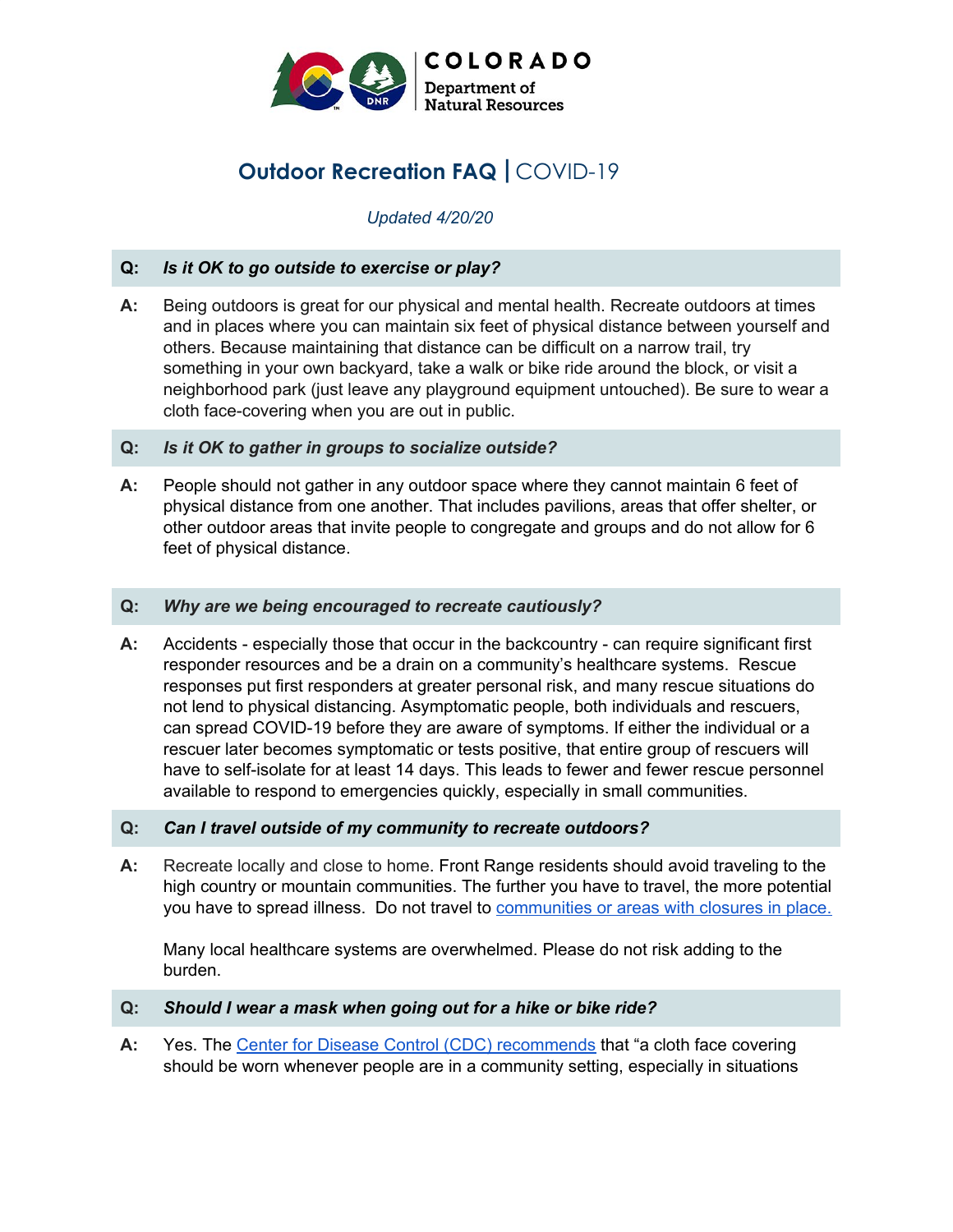

# **Outdoor Recreation FAQ |** COVID-19

## *Updated 4/20/20*

## **Q:** *Is it OK to go outside to exercise or play?*

- **A:** Being outdoors is great for our physical and mental health. Recreate outdoors at times and in places where you can maintain six feet of physical distance between yourself and others. Because maintaining that distance can be difficult on a narrow trail, try something in your own backyard, take a walk or bike ride around the block, or visit a neighborhood park (just leave any playground equipment untouched). Be sure to wear a cloth face-covering when you are out in public.
- **Q:** *Is it OK to gather in groups to socialize outside?*
- **A:** People should not gather in any outdoor space where they cannot maintain 6 feet of physical distance from one another. That includes pavilions, areas that offer shelter, or other outdoor areas that invite people to congregate and groups and do not allow for 6 feet of physical distance.

#### **Q:** *Why are we being encouraged to recreate cautiously?*

**A:** Accidents - especially those that occur in the backcountry - can require significant first responder resources and be a drain on a community's healthcare systems. Rescue responses put first responders at greater personal risk, and many rescue situations do not lend to physical distancing. Asymptomatic people, both individuals and rescuers, can spread COVID-19 before they are aware of symptoms. If either the individual or a rescuer later becomes symptomatic or tests positive, that entire group of rescuers will have to self-isolate for at least 14 days. This leads to fewer and fewer rescue personnel available to respond to emergencies quickly, especially in small communities.

#### **Q:** *Can I travel outside of my community to recreate outdoors?*

**A:** Recreate locally and close to home. Front Range residents should avoid traveling to the high country or mountain communities. The further you have to travel, the more potential you have to spread illness. Do not travel to [communities](https://firebasestorage.googleapis.com/v0/b/torid-heat-3070.appspot.com/o/Resources%2FFederalStateTribalOutdoorRecreationCOVID-19Resources.pdf?alt=media&token=a11510a6-39e9-4f01-8617-fd9d6571cefc) or areas with closures in place.

Many local healthcare systems are overwhelmed. Please do not risk adding to the burden.

#### **Q:** *Should I wear a mask when going out for a hike or bike ride?*

**A:** Yes. The Center for Disease Control (CDC) [recommends](https://www.cdc.gov/coronavirus/2019-ncov/prevent-getting-sick/cloth-face-cover-faq.html) that "a cloth face covering should be worn whenever people are in a community setting, especially in situations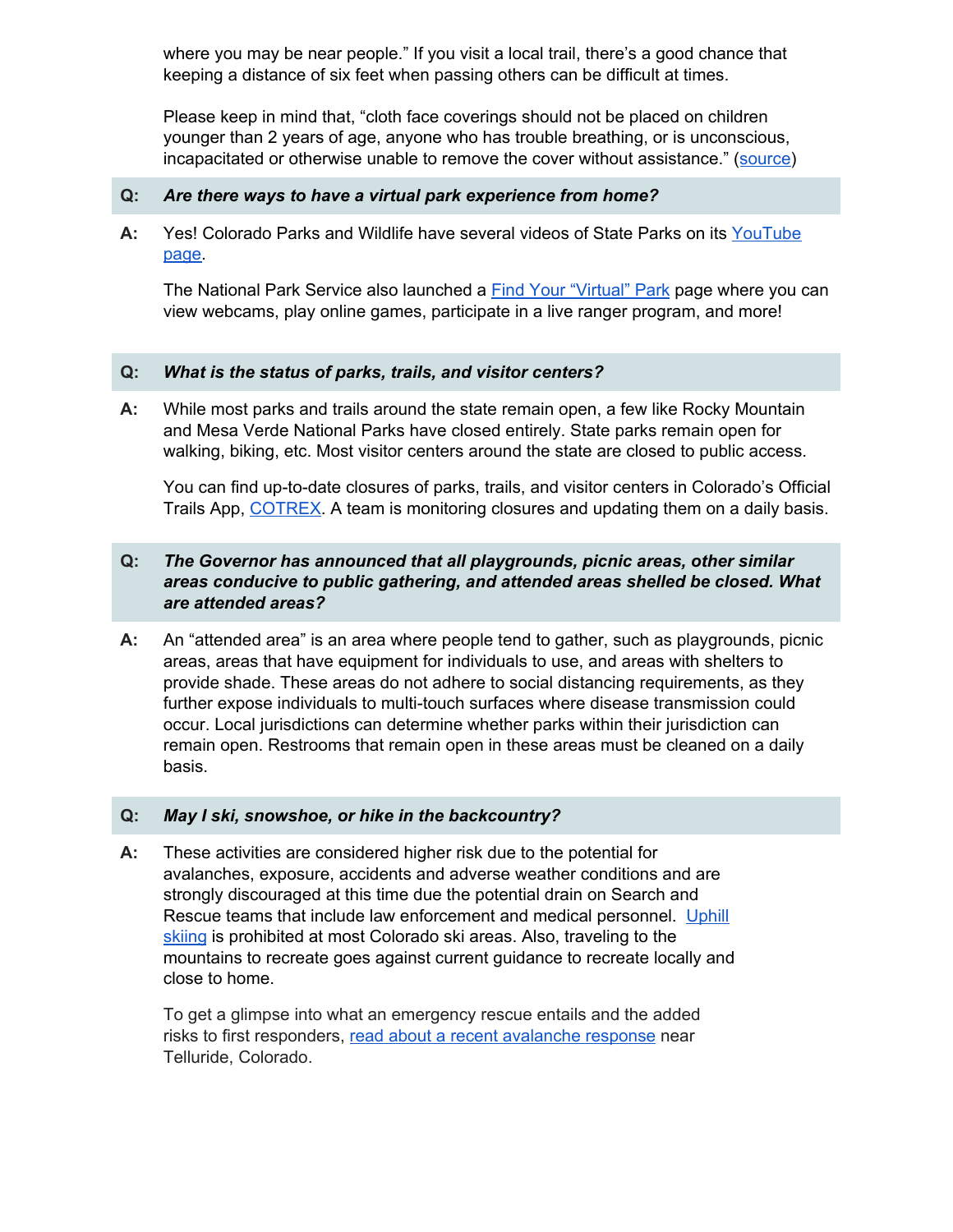where you may be near people." If you visit a local trail, there's a good chance that keeping a distance of six feet when passing others can be difficult at times.

Please keep in mind that, "cloth face coverings should not be placed on children younger than 2 years of age, anyone who has trouble breathing, or is unconscious, incapacitated or otherwise unable to remove the cover without assistance." ([source](https://www.cdc.gov/coronavirus/2019-ncov/prevent-getting-sick/cloth-face-cover-faq.html))

#### **Q:** *Are there ways to have a virtual park experience from home?*

**A:** Yes! Colorado Parks and Wildlife have several videos of State Parks on its [YouTube](https://www.youtube.com/playlist?list=PLWGY7bVNQHtVKi1CKIFCxZ9kCW9heNk__) [page.](https://www.youtube.com/playlist?list=PLWGY7bVNQHtVKi1CKIFCxZ9kCW9heNk__)

The National Park Service also launched a **Find Your ["Virtual"](https://www.nps.gov/subjects/npscelebrates/find-your-virtual-park.htm) Park page where you can** view webcams, play online games, participate in a live ranger program, and more!

## **Q:** *What is the status of parks, trails, and visitor centers?*

**A:** While most parks and trails around the state remain open, a few like Rocky Mountain and Mesa Verde National Parks have closed entirely. State parks remain open for walking, biking, etc. Most visitor centers around the state are closed to public access.

You can find up-to-date closures of parks, trails, and visitor centers in Colorado's Official Trails App, [COTREX](https://trails.colorado.gov/). A team is monitoring closures and updating them on a daily basis.

## **Q:** *The Governor has announced that all playgrounds, picnic areas, other similar areas conducive to public gathering, and attended areas shelled be closed. What are attended areas?*

**A:** An "attended area" is an area where people tend to gather, such as playgrounds, picnic areas, areas that have equipment for individuals to use, and areas with shelters to provide shade. These areas do not adhere to social distancing requirements, as they further expose individuals to multi-touch surfaces where disease transmission could occur. Local jurisdictions can determine whether parks within their jurisdiction can remain open. Restrooms that remain open in these areas must be cleaned on a daily basis.

## **Q:** *May I ski, snowshoe, or hike in the backcountry?*

**A:** These activities are considered higher risk due to the potential for avalanches, exposure, accidents and adverse weather conditions and are strongly discouraged at this time due the potential drain on Search and Rescue teams that include law enforcement and medical personnel. [Uphill](https://www.facebook.com/watch/?v=1027723997609376) [skiing](https://www.facebook.com/watch/?v=1027723997609376) is prohibited at most Colorado ski areas. Also, traveling to the mountains to recreate goes against current guidance to recreate locally and close to home.

To get a glimpse into what an emergency rescue entails and the added risks to first responders, read about a recent [avalanche](https://www.outsideonline.com/2411094/backcountry-accidents-coronavirus-colorado) response near Telluride, Colorado.